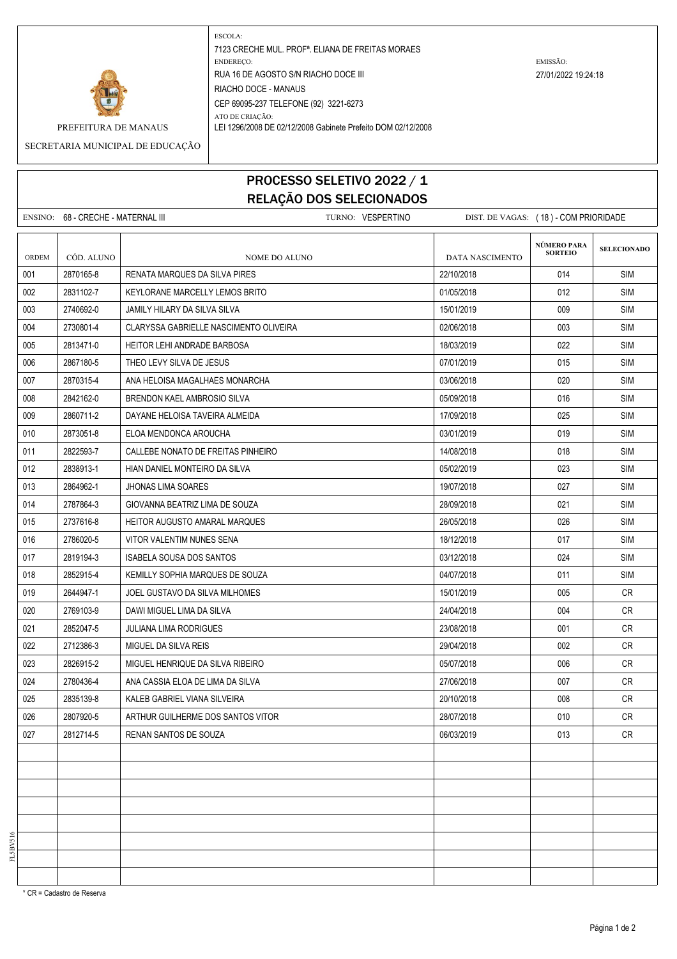

ESCOLA: 7123 CRECHE MUL. PROFª. ELIANA DE FREITAS MORAES ENDEREÇO: EMISSÃO: RUA 16 DE AGOSTO S/N RIACHO DOCE III 27/01/2022 19:24:18 RIACHO DOCE - MANAUS CEP 69095-237 TELEFONE (92) 3221-6273 ATO DE CRIAÇÃO:

PREFEITURA DE MANAUS LEI 1296/2008 DE 02/12/2008 Gabinete Prefeito DOM 02/12/2008

SECRETARIA MUNICIPAL DE EDUCAÇÃO

## PROCESSO SELETIVO 2022 / 1 RELAÇÃO DOS SELECIONADOS

|       | ENSINO: 68 - CRECHE - MATERNAL III |                                        | TURNO: VESPERTINO |                        | DIST. DE VAGAS: (18) - COM PRIORIDADE |                    |
|-------|------------------------------------|----------------------------------------|-------------------|------------------------|---------------------------------------|--------------------|
| ORDEM | CÓD. ALUNO                         | <b>NOME DO ALUNO</b>                   |                   | <b>DATA NASCIMENTO</b> | NÚMERO PARA<br><b>SORTEIO</b>         | <b>SELECIONADO</b> |
| 001   | 2870165-8                          | <b>RENATA MARQUES DA SILVA PIRES</b>   |                   | 22/10/2018             | 014                                   | <b>SIM</b>         |
| 002   | 2831102-7                          | KEYLORANE MARCELLY LEMOS BRITO         |                   | 01/05/2018             | 012                                   | SIM                |
| 003   | 2740692-0                          | JAMILY HILARY DA SILVA SILVA           |                   | 15/01/2019             | 009                                   | <b>SIM</b>         |
| 004   | 2730801-4                          | CLARYSSA GABRIELLE NASCIMENTO OLIVEIRA |                   | 02/06/2018             | 003                                   | SIM                |
| 005   | 2813471-0                          | <b>HEITOR LEHI ANDRADE BARBOSA</b>     |                   | 18/03/2019             | 022                                   | SIM                |
| 006   | 2867180-5                          | THEO LEVY SILVA DE JESUS               |                   | 07/01/2019             | 015                                   | <b>SIM</b>         |
| 007   | 2870315-4                          | ANA HELOISA MAGALHAES MONARCHA         |                   | 03/06/2018             | 020                                   | SIM                |
| 008   | 2842162-0                          | BRENDON KAEL AMBROSIO SILVA            |                   | 05/09/2018             | 016                                   | SIM                |
| 009   | 2860711-2                          | DAYANE HELOISA TAVEIRA ALMEIDA         |                   | 17/09/2018             | 025                                   | <b>SIM</b>         |
| 010   | 2873051-8                          | ELOA MENDONCA AROUCHA                  |                   | 03/01/2019             | 019                                   | <b>SIM</b>         |
| 011   | 2822593-7                          | CALLEBE NONATO DE FREITAS PINHEIRO     |                   | 14/08/2018             | 018                                   | SIM                |
| 012   | 2838913-1                          | HIAN DANIEL MONTEIRO DA SILVA          |                   | 05/02/2019             | 023                                   | SIM                |
| 013   | 2864962-1                          | <b>JHONAS LIMA SOARES</b>              |                   | 19/07/2018             | 027                                   | <b>SIM</b>         |
| 014   | 2787864-3                          | GIOVANNA BEATRIZ LIMA DE SOUZA         |                   | 28/09/2018             | 021                                   | SIM                |
| 015   | 2737616-8                          | <b>HEITOR AUGUSTO AMARAL MARQUES</b>   |                   | 26/05/2018             | 026                                   | SIM                |
| 016   | 2786020-5                          | VITOR VALENTIM NUNES SENA              |                   | 18/12/2018             | 017                                   | <b>SIM</b>         |
| 017   | 2819194-3                          | <b>ISABELA SOUSA DOS SANTOS</b>        |                   | 03/12/2018             | 024                                   | SIM                |
| 018   | 2852915-4                          | KEMILLY SOPHIA MARQUES DE SOUZA        |                   | 04/07/2018             | 011                                   | SIM                |
| 019   | 2644947-1                          | JOEL GUSTAVO DA SILVA MILHOMES         |                   | 15/01/2019             | 005                                   | CR                 |
| 020   | 2769103-9                          | DAWI MIGUEL LIMA DA SILVA              |                   | 24/04/2018             | 004                                   | CR.                |
| 021   | 2852047-5                          | <b>JULIANA LIMA RODRIGUES</b>          |                   | 23/08/2018             | 001                                   | CR.                |
| 022   | 2712386-3                          | MIGUEL DA SILVA REIS                   |                   | 29/04/2018             | 002                                   | CR                 |
| 023   | 2826915-2                          | MIGUEL HENRIQUE DA SILVA RIBEIRO       |                   | 05/07/2018             | 006                                   | CR.                |
| 024   | 2780436-4                          | ANA CASSIA ELOA DE LIMA DA SILVA       |                   | 27/06/2018             | 007                                   | <b>CR</b>          |
| 025   | 2835139-8                          | KALEB GABRIEL VIANA SILVEIRA           |                   | 20/10/2018             | 008                                   | CR                 |
| 026   | 2807920-5                          | ARTHUR GUILHERME DOS SANTOS VITOR      |                   | 28/07/2018             | 010                                   | <b>CR</b>          |
| 027   | 2812714-5                          | RENAN SANTOS DE SOUZA                  |                   | 06/03/2019             | 013                                   | CR                 |
|       |                                    |                                        |                   |                        |                                       |                    |
|       |                                    |                                        |                   |                        |                                       |                    |
|       |                                    |                                        |                   |                        |                                       |                    |
|       |                                    |                                        |                   |                        |                                       |                    |
|       |                                    |                                        |                   |                        |                                       |                    |
|       |                                    |                                        |                   |                        |                                       |                    |
|       |                                    |                                        |                   |                        |                                       |                    |
|       |                                    |                                        |                   |                        |                                       |                    |

FL5BV516